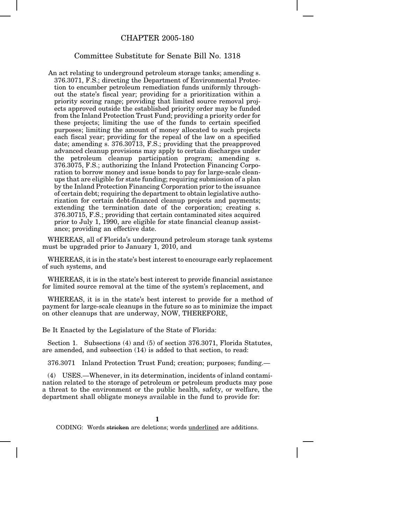## CHAPTER 2005-180

## Committee Substitute for Senate Bill No. 1318

An act relating to underground petroleum storage tanks; amending s. 376.3071, F.S.; directing the Department of Environmental Protection to encumber petroleum remediation funds uniformly throughout the state's fiscal year; providing for a prioritization within a priority scoring range; providing that limited source removal projects approved outside the established priority order may be funded from the Inland Protection Trust Fund; providing a priority order for these projects; limiting the use of the funds to certain specified purposes; limiting the amount of money allocated to such projects each fiscal year; providing for the repeal of the law on a specified date; amending s. 376.30713, F.S.; providing that the preapproved advanced cleanup provisions may apply to certain discharges under the petroleum cleanup participation program; amending s. 376.3075, F.S.; authorizing the Inland Protection Financing Corporation to borrow money and issue bonds to pay for large-scale cleanups that are eligible for state funding; requiring submission of a plan by the Inland Protection Financing Corporation prior to the issuance of certain debt; requiring the department to obtain legislative authorization for certain debt-financed cleanup projects and payments; extending the termination date of the corporation; creating s. 376.30715, F.S.; providing that certain contaminated sites acquired prior to July 1, 1990, are eligible for state financial cleanup assistance; providing an effective date.

WHEREAS, all of Florida's underground petroleum storage tank systems must be upgraded prior to January 1, 2010, and

WHEREAS, it is in the state's best interest to encourage early replacement of such systems, and

WHEREAS, it is in the state's best interest to provide financial assistance for limited source removal at the time of the system's replacement, and

WHEREAS, it is in the state's best interest to provide for a method of payment for large-scale cleanups in the future so as to minimize the impact on other cleanups that are underway, NOW, THEREFORE,

Be It Enacted by the Legislature of the State of Florida:

Section 1. Subsections (4) and (5) of section 376.3071, Florida Statutes, are amended, and subsection (14) is added to that section, to read:

376.3071 Inland Protection Trust Fund; creation; purposes; funding.—

(4) USES.—Whenever, in its determination, incidents of inland contamination related to the storage of petroleum or petroleum products may pose a threat to the environment or the public health, safety, or welfare, the department shall obligate moneys available in the fund to provide for:

**1**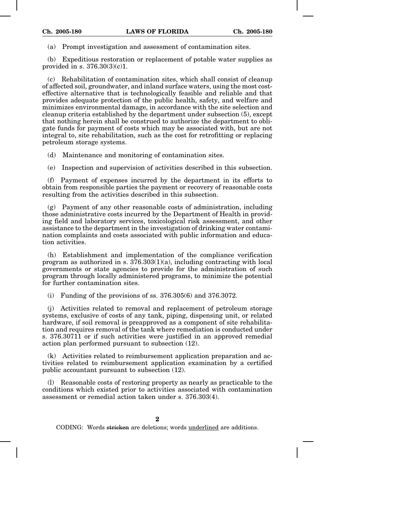(a) Prompt investigation and assessment of contamination sites.

(b) Expeditious restoration or replacement of potable water supplies as provided in s. 376.30(3)(c)1.

(c) Rehabilitation of contamination sites, which shall consist of cleanup of affected soil, groundwater, and inland surface waters, using the most costeffective alternative that is technologically feasible and reliable and that provides adequate protection of the public health, safety, and welfare and minimizes environmental damage, in accordance with the site selection and cleanup criteria established by the department under subsection (5), except that nothing herein shall be construed to authorize the department to obligate funds for payment of costs which may be associated with, but are not integral to, site rehabilitation, such as the cost for retrofitting or replacing petroleum storage systems.

(d) Maintenance and monitoring of contamination sites.

(e) Inspection and supervision of activities described in this subsection.

(f) Payment of expenses incurred by the department in its efforts to obtain from responsible parties the payment or recovery of reasonable costs resulting from the activities described in this subsection.

(g) Payment of any other reasonable costs of administration, including those administrative costs incurred by the Department of Health in providing field and laboratory services, toxicological risk assessment, and other assistance to the department in the investigation of drinking water contamination complaints and costs associated with public information and education activities.

(h) Establishment and implementation of the compliance verification program as authorized in s.  $376.303(1)(a)$ , including contracting with local governments or state agencies to provide for the administration of such program through locally administered programs, to minimize the potential for further contamination sites.

(i) Funding of the provisions of ss.  $376.305(6)$  and  $376.3072$ .

(j) Activities related to removal and replacement of petroleum storage systems, exclusive of costs of any tank, piping, dispensing unit, or related hardware, if soil removal is preapproved as a component of site rehabilitation and requires removal of the tank where remediation is conducted under s. 376.30711 or if such activities were justified in an approved remedial action plan performed pursuant to subsection (12).

(k) Activities related to reimbursement application preparation and activities related to reimbursement application examination by a certified public accountant pursuant to subsection (12).

(l) Reasonable costs of restoring property as nearly as practicable to the conditions which existed prior to activities associated with contamination assessment or remedial action taken under s. 376.303(4).

**2**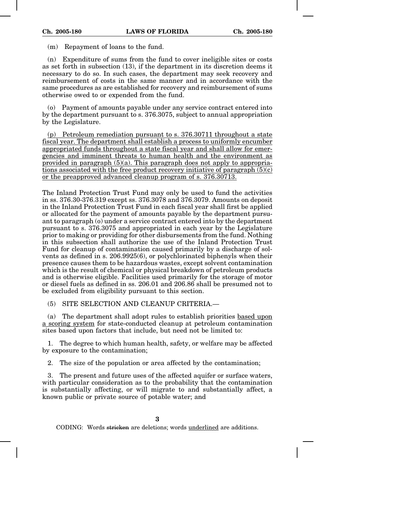(m) Repayment of loans to the fund.

(n) Expenditure of sums from the fund to cover ineligible sites or costs as set forth in subsection (13), if the department in its discretion deems it necessary to do so. In such cases, the department may seek recovery and reimbursement of costs in the same manner and in accordance with the same procedures as are established for recovery and reimbursement of sums otherwise owed to or expended from the fund.

(o) Payment of amounts payable under any service contract entered into by the department pursuant to s. 376.3075, subject to annual appropriation by the Legislature.

(p) Petroleum remediation pursuant to s. 376.30711 throughout a state fiscal year. The department shall establish a process to uniformly encumber appropriated funds throughout a state fiscal year and shall allow for emergencies and imminent threats to human health and the environment as provided in paragraph  $(5)(a)$ . This paragraph does not apply to appropriations associated with the free product recovery initiative of paragraph  $(5)(c)$ or the preapproved advanced cleanup program of s. 376.30713.

The Inland Protection Trust Fund may only be used to fund the activities in ss. 376.30-376.319 except ss. 376.3078 and 376.3079. Amounts on deposit in the Inland Protection Trust Fund in each fiscal year shall first be applied or allocated for the payment of amounts payable by the department pursuant to paragraph (o) under a service contract entered into by the department pursuant to s. 376.3075 and appropriated in each year by the Legislature prior to making or providing for other disbursements from the fund. Nothing in this subsection shall authorize the use of the Inland Protection Trust Fund for cleanup of contamination caused primarily by a discharge of solvents as defined in s. 206.9925(6), or polychlorinated biphenyls when their presence causes them to be hazardous wastes, except solvent contamination which is the result of chemical or physical breakdown of petroleum products and is otherwise eligible. Facilities used primarily for the storage of motor or diesel fuels as defined in ss. 206.01 and 206.86 shall be presumed not to be excluded from eligibility pursuant to this section.

(5) SITE SELECTION AND CLEANUP CRITERIA.—

(a) The department shall adopt rules to establish priorities based upon a scoring system for state-conducted cleanup at petroleum contamination sites based upon factors that include, but need not be limited to:

1. The degree to which human health, safety, or welfare may be affected by exposure to the contamination;

2. The size of the population or area affected by the contamination;

3. The present and future uses of the affected aquifer or surface waters, with particular consideration as to the probability that the contamination is substantially affecting, or will migrate to and substantially affect, a known public or private source of potable water; and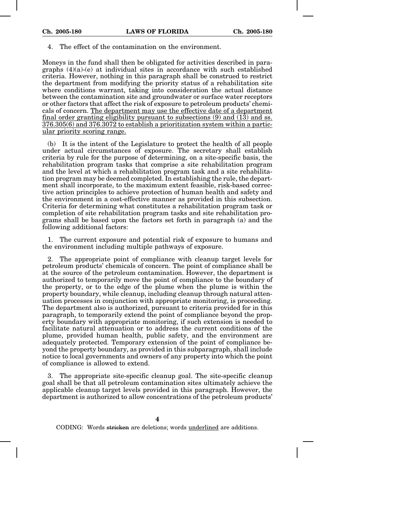## 4. The effect of the contamination on the environment.

Moneys in the fund shall then be obligated for activities described in paragraphs  $(4)(a)-(e)$  at individual sites in accordance with such established criteria. However, nothing in this paragraph shall be construed to restrict the department from modifying the priority status of a rehabilitation site where conditions warrant, taking into consideration the actual distance between the contamination site and groundwater or surface water receptors or other factors that affect the risk of exposure to petroleum products' chemicals of concern. The department may use the effective date of a department final order granting eligibility pursuant to subsections  $(9)$  and  $(13)$  and ss. 376.305(6) and 376.3072 to establish a prioritization system within a particular priority scoring range.

(b) It is the intent of the Legislature to protect the health of all people under actual circumstances of exposure. The secretary shall establish criteria by rule for the purpose of determining, on a site-specific basis, the rehabilitation program tasks that comprise a site rehabilitation program and the level at which a rehabilitation program task and a site rehabilitation program may be deemed completed. In establishing the rule, the department shall incorporate, to the maximum extent feasible, risk-based corrective action principles to achieve protection of human health and safety and the environment in a cost-effective manner as provided in this subsection. Criteria for determining what constitutes a rehabilitation program task or completion of site rehabilitation program tasks and site rehabilitation programs shall be based upon the factors set forth in paragraph (a) and the following additional factors:

1. The current exposure and potential risk of exposure to humans and the environment including multiple pathways of exposure.

2. The appropriate point of compliance with cleanup target levels for petroleum products' chemicals of concern. The point of compliance shall be at the source of the petroleum contamination. However, the department is authorized to temporarily move the point of compliance to the boundary of the property, or to the edge of the plume when the plume is within the property boundary, while cleanup, including cleanup through natural attenuation processes in conjunction with appropriate monitoring, is proceeding. The department also is authorized, pursuant to criteria provided for in this paragraph, to temporarily extend the point of compliance beyond the property boundary with appropriate monitoring, if such extension is needed to facilitate natural attenuation or to address the current conditions of the plume, provided human health, public safety, and the environment are adequately protected. Temporary extension of the point of compliance beyond the property boundary, as provided in this subparagraph, shall include notice to local governments and owners of any property into which the point of compliance is allowed to extend.

3. The appropriate site-specific cleanup goal. The site-specific cleanup goal shall be that all petroleum contamination sites ultimately achieve the applicable cleanup target levels provided in this paragraph. However, the department is authorized to allow concentrations of the petroleum products'

**4**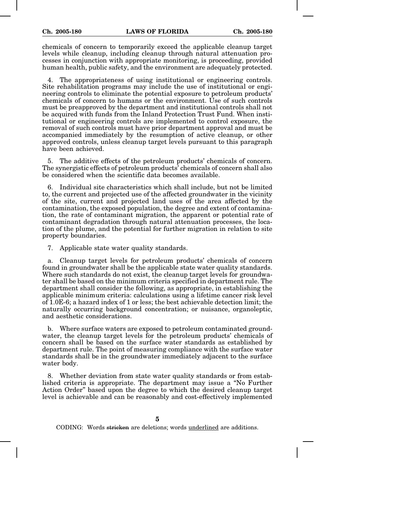chemicals of concern to temporarily exceed the applicable cleanup target levels while cleanup, including cleanup through natural attenuation processes in conjunction with appropriate monitoring, is proceeding, provided human health, public safety, and the environment are adequately protected.

4. The appropriateness of using institutional or engineering controls. Site rehabilitation programs may include the use of institutional or engineering controls to eliminate the potential exposure to petroleum products' chemicals of concern to humans or the environment. Use of such controls must be preapproved by the department and institutional controls shall not be acquired with funds from the Inland Protection Trust Fund. When institutional or engineering controls are implemented to control exposure, the removal of such controls must have prior department approval and must be accompanied immediately by the resumption of active cleanup, or other approved controls, unless cleanup target levels pursuant to this paragraph have been achieved.

5. The additive effects of the petroleum products' chemicals of concern. The synergistic effects of petroleum products' chemicals of concern shall also be considered when the scientific data becomes available.

6. Individual site characteristics which shall include, but not be limited to, the current and projected use of the affected groundwater in the vicinity of the site, current and projected land uses of the area affected by the contamination, the exposed population, the degree and extent of contamination, the rate of contaminant migration, the apparent or potential rate of contaminant degradation through natural attenuation processes, the location of the plume, and the potential for further migration in relation to site property boundaries.

7. Applicable state water quality standards.

a. Cleanup target levels for petroleum products' chemicals of concern found in groundwater shall be the applicable state water quality standards. Where such standards do not exist, the cleanup target levels for groundwater shall be based on the minimum criteria specified in department rule. The department shall consider the following, as appropriate, in establishing the applicable minimum criteria: calculations using a lifetime cancer risk level of 1.0E-6; a hazard index of 1 or less; the best achievable detection limit; the naturally occurring background concentration; or nuisance, organoleptic, and aesthetic considerations.

b. Where surface waters are exposed to petroleum contaminated groundwater, the cleanup target levels for the petroleum products' chemicals of concern shall be based on the surface water standards as established by department rule. The point of measuring compliance with the surface water standards shall be in the groundwater immediately adjacent to the surface water body.

8. Whether deviation from state water quality standards or from established criteria is appropriate. The department may issue a "No Further Action Order" based upon the degree to which the desired cleanup target level is achievable and can be reasonably and cost-effectively implemented

**5**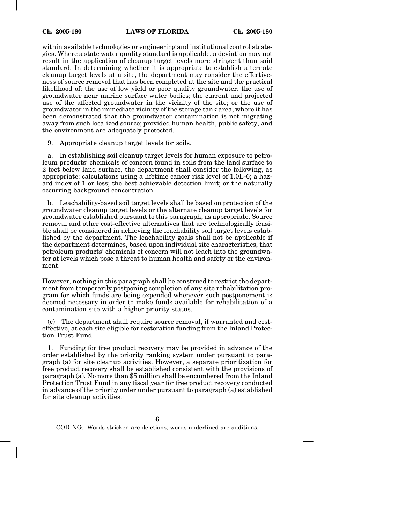within available technologies or engineering and institutional control strategies. Where a state water quality standard is applicable, a deviation may not result in the application of cleanup target levels more stringent than said standard. In determining whether it is appropriate to establish alternate cleanup target levels at a site, the department may consider the effectiveness of source removal that has been completed at the site and the practical likelihood of: the use of low yield or poor quality groundwater; the use of groundwater near marine surface water bodies; the current and projected use of the affected groundwater in the vicinity of the site; or the use of groundwater in the immediate vicinity of the storage tank area, where it has been demonstrated that the groundwater contamination is not migrating away from such localized source; provided human health, public safety, and the environment are adequately protected.

9. Appropriate cleanup target levels for soils.

a. In establishing soil cleanup target levels for human exposure to petroleum products' chemicals of concern found in soils from the land surface to 2 feet below land surface, the department shall consider the following, as appropriate: calculations using a lifetime cancer risk level of 1.0E-6; a hazard index of 1 or less; the best achievable detection limit; or the naturally occurring background concentration.

b. Leachability-based soil target levels shall be based on protection of the groundwater cleanup target levels or the alternate cleanup target levels for groundwater established pursuant to this paragraph, as appropriate. Source removal and other cost-effective alternatives that are technologically feasible shall be considered in achieving the leachability soil target levels established by the department. The leachability goals shall not be applicable if the department determines, based upon individual site characteristics, that petroleum products' chemicals of concern will not leach into the groundwater at levels which pose a threat to human health and safety or the environment.

However, nothing in this paragraph shall be construed to restrict the department from temporarily postponing completion of any site rehabilitation program for which funds are being expended whenever such postponement is deemed necessary in order to make funds available for rehabilitation of a contamination site with a higher priority status.

(c) The department shall require source removal, if warranted and costeffective, at each site eligible for restoration funding from the Inland Protection Trust Fund.

1. Funding for free product recovery may be provided in advance of the order established by the priority ranking system under pursuant to paragraph (a) for site cleanup activities. However, a separate prioritization for free product recovery shall be established consistent with the provisions of paragraph (a). No more than \$5 million shall be encumbered from the Inland Protection Trust Fund in any fiscal year for free product recovery conducted in advance of the priority order under pursuant to paragraph (a) established for site cleanup activities.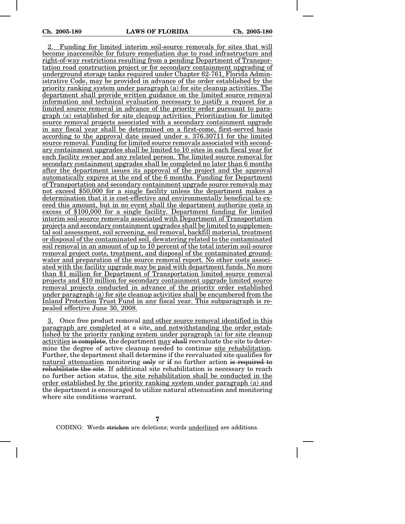2. Funding for limited interim soil-source removals for sites that will become inaccessible for future remediation due to road infrastructure and right-of-way restrictions resulting from a pending Department of Transportation road construction project or for secondary containment upgrading of underground storage tanks required under Chapter 62-761, Florida Administrative Code, may be provided in advance of the order established by the priority ranking system under paragraph (a) for site cleanup activities. The department shall provide written guidance on the limited source removal information and technical evaluation necessary to justify a request for a limited source removal in advance of the priority order pursuant to paragraph (a) established for site cleanup activities. Prioritization for limited source removal projects associated with a secondary containment upgrade in any fiscal year shall be determined on a first-come, first-served basis according to the approval date issued under s. 376.30711 for the limited source removal. Funding for limited source removals associated with secondary containment upgrades shall be limited to 10 sites in each fiscal year for each facility owner and any related person. The limited source removal for secondary containment upgrades shall be completed no later than 6 months after the department issues its approval of the project and the approval automatically expires at the end of the 6 months. Funding for Department of Transportation and secondary containment upgrade source removals may not exceed \$50,000 for a single facility unless the department makes a determination that it is cost-effective and environmentally beneficial to exceed this amount, but in no event shall the department authorize costs in excess of \$100,000 for a single facility. Department funding for limited interim soil-source removals associated with Department of Transportation projects and secondary containment upgrades shall be limited to supplemental soil assessment, soil screening, soil removal, backfill material, treatment or disposal of the contaminated soil, dewatering related to the contaminated soil removal in an amount of up to 10 percent of the total interim soil-source removal project costs, treatment, and disposal of the contaminated groundwater and preparation of the source removal report. No other costs associated with the facility upgrade may be paid with department funds. No more than \$1 million for Department of Transportation limited source removal projects and \$10 million for secondary containment upgrade limited source removal projects conducted in advance of the priority order established under paragraph (a) for site cleanup activities shall be encumbered from the Inland Protection Trust Fund in any fiscal year. This subparagraph is repealed effective June 30, 2008.

3. Once free product removal and other source removal identified in this paragraph are completed at a site, and notwithstanding the order established by the priority ranking system under paragraph (a) for site cleanup activities is complete, the department may shall reevaluate the site to determine the degree of active cleanup needed to continue site rehabilitation. Further, the department shall determine if the reevaluated site qualifies for natural attenuation monitoring only or if no further action is required to rehabilitate the site. If additional site rehabilitation is necessary to reach no further action status, the site rehabilitation shall be conducted in the order established by the priority ranking system under paragraph (a) and the department is encouraged to utilize natural attenuation and monitoring where site conditions warrant.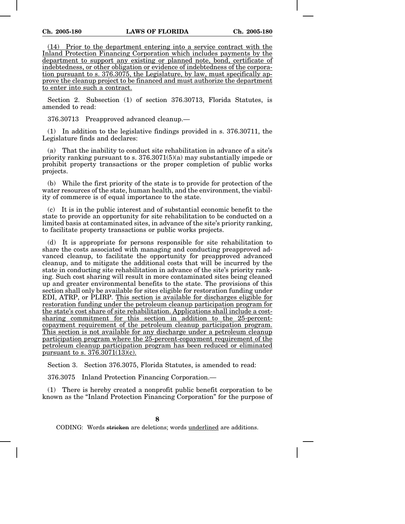(14) Prior to the department entering into a service contract with the Inland Protection Financing Corporation which includes payments by the department to support any existing or planned note, bond, certificate of indebtedness, or other obligation or evidence of indebtedness of the corporation pursuant to s. 376.3075, the Legislature, by law, must specifically approve the cleanup project to be financed and must authorize the department to enter into such a contract.

Section 2. Subsection (1) of section 376.30713, Florida Statutes, is amended to read:

376.30713 Preapproved advanced cleanup.—

(1) In addition to the legislative findings provided in s. 376.30711, the Legislature finds and declares:

(a) That the inability to conduct site rehabilitation in advance of a site's priority ranking pursuant to s.  $376.3071(5)(a)$  may substantially impede or prohibit property transactions or the proper completion of public works projects.

(b) While the first priority of the state is to provide for protection of the water resources of the state, human health, and the environment, the viability of commerce is of equal importance to the state.

(c) It is in the public interest and of substantial economic benefit to the state to provide an opportunity for site rehabilitation to be conducted on a limited basis at contaminated sites, in advance of the site's priority ranking, to facilitate property transactions or public works projects.

(d) It is appropriate for persons responsible for site rehabilitation to share the costs associated with managing and conducting preapproved advanced cleanup, to facilitate the opportunity for preapproved advanced cleanup, and to mitigate the additional costs that will be incurred by the state in conducting site rehabilitation in advance of the site's priority ranking. Such cost sharing will result in more contaminated sites being cleaned up and greater environmental benefits to the state. The provisions of this section shall only be available for sites eligible for restoration funding under EDI, ATRP, or PLIRP. This section is available for discharges eligible for restoration funding under the petroleum cleanup participation program for the state's cost share of site rehabilitation. Applications shall include a costsharing commitment for this section in addition to the 25-percentcopayment requirement of the petroleum cleanup participation program. This section is not available for any discharge under a petroleum cleanup participation program where the 25-percent-copayment requirement of the petroleum cleanup participation program has been reduced or eliminated pursuant to s. 376.3071(13)(c).

Section 3. Section 376.3075, Florida Statutes, is amended to read:

376.3075 Inland Protection Financing Corporation.—

(1) There is hereby created a nonprofit public benefit corporation to be known as the "Inland Protection Financing Corporation" for the purpose of

**8**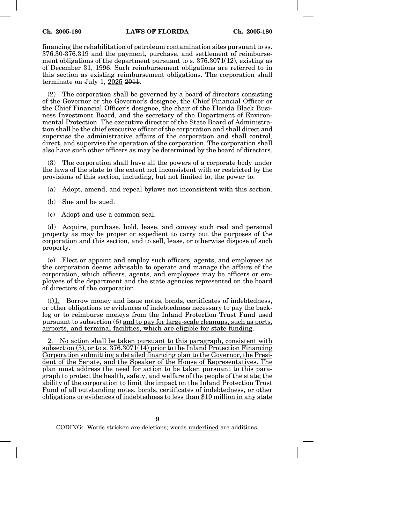financing the rehabilitation of petroleum contamination sites pursuant to ss. 376.30-376.319 and the payment, purchase, and settlement of reimbursement obligations of the department pursuant to s. 376.3071(12), existing as of December 31, 1996. Such reimbursement obligations are referred to in this section as existing reimbursement obligations. The corporation shall terminate on July 1, 2025 2011.

(2) The corporation shall be governed by a board of directors consisting of the Governor or the Governor's designee, the Chief Financial Officer or the Chief Financial Officer's designee, the chair of the Florida Black Business Investment Board, and the secretary of the Department of Environmental Protection. The executive director of the State Board of Administration shall be the chief executive officer of the corporation and shall direct and supervise the administrative affairs of the corporation and shall control, direct, and supervise the operation of the corporation. The corporation shall also have such other officers as may be determined by the board of directors.

(3) The corporation shall have all the powers of a corporate body under the laws of the state to the extent not inconsistent with or restricted by the provisions of this section, including, but not limited to, the power to:

(a) Adopt, amend, and repeal bylaws not inconsistent with this section.

(b) Sue and be sued.

(c) Adopt and use a common seal.

(d) Acquire, purchase, hold, lease, and convey such real and personal property as may be proper or expedient to carry out the purposes of the corporation and this section, and to sell, lease, or otherwise dispose of such property.

(e) Elect or appoint and employ such officers, agents, and employees as the corporation deems advisable to operate and manage the affairs of the corporation, which officers, agents, and employees may be officers or employees of the department and the state agencies represented on the board of directors of the corporation.

(f)1. Borrow money and issue notes, bonds, certificates of indebtedness, or other obligations or evidences of indebtedness necessary to pay the backlog or to reimburse moneys from the Inland Protection Trust Fund used pursuant to subsection (6) and to pay for large-scale cleanups, such as ports, airports, and terminal facilities, which are eligible for state funding.

2. No action shall be taken pursuant to this paragraph, consistent with subsection (5), or to s. 376.3071(14) prior to the Inland Protection Financing Corporation submitting a detailed financing plan to the Governor, the President of the Senate, and the Speaker of the House of Representatives. The plan must address the need for action to be taken pursuant to this paragraph to protect the health, safety, and welfare of the people of the state; the ability of the corporation to limit the impact on the Inland Protection Trust Fund of all outstanding notes, bonds, certificates of indebtedness, or other obligations or evidences of indebtedness to less than \$10 million in any state

**9**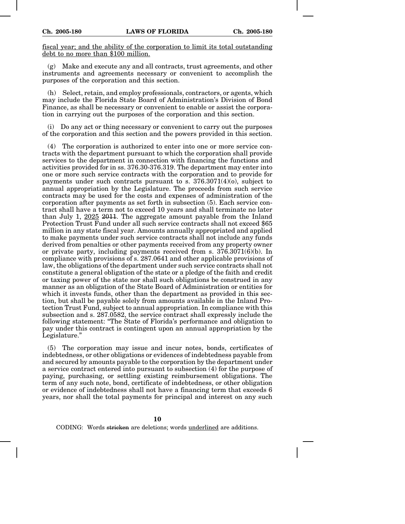fiscal year; and the ability of the corporation to limit its total outstanding debt to no more than \$100 million.

(g) Make and execute any and all contracts, trust agreements, and other instruments and agreements necessary or convenient to accomplish the purposes of the corporation and this section.

(h) Select, retain, and employ professionals, contractors, or agents, which may include the Florida State Board of Administration's Division of Bond Finance, as shall be necessary or convenient to enable or assist the corporation in carrying out the purposes of the corporation and this section.

Do any act or thing necessary or convenient to carry out the purposes of the corporation and this section and the powers provided in this section.

(4) The corporation is authorized to enter into one or more service contracts with the department pursuant to which the corporation shall provide services to the department in connection with financing the functions and activities provided for in ss. 376.30-376.319. The department may enter into one or more such service contracts with the corporation and to provide for payments under such contracts pursuant to s.  $376.3071(4)(o)$ , subject to annual appropriation by the Legislature. The proceeds from such service contracts may be used for the costs and expenses of administration of the corporation after payments as set forth in subsection (5). Each service contract shall have a term not to exceed 10 years and shall terminate no later than July 1, 2025 2011. The aggregate amount payable from the Inland Protection Trust Fund under all such service contracts shall not exceed \$65 million in any state fiscal year. Amounts annually appropriated and applied to make payments under such service contracts shall not include any funds derived from penalties or other payments received from any property owner or private party, including payments received from s. 376.3071(6)(b). In compliance with provisions of s. 287.0641 and other applicable provisions of law, the obligations of the department under such service contracts shall not constitute a general obligation of the state or a pledge of the faith and credit or taxing power of the state nor shall such obligations be construed in any manner as an obligation of the State Board of Administration or entities for which it invests funds, other than the department as provided in this section, but shall be payable solely from amounts available in the Inland Protection Trust Fund, subject to annual appropriation. In compliance with this subsection and s. 287.0582, the service contract shall expressly include the following statement: "The State of Florida's performance and obligation to pay under this contract is contingent upon an annual appropriation by the Legislature."

(5) The corporation may issue and incur notes, bonds, certificates of indebtedness, or other obligations or evidences of indebtedness payable from and secured by amounts payable to the corporation by the department under a service contract entered into pursuant to subsection (4) for the purpose of paying, purchasing, or settling existing reimbursement obligations. The term of any such note, bond, certificate of indebtedness, or other obligation or evidence of indebtedness shall not have a financing term that exceeds 6 years, nor shall the total payments for principal and interest on any such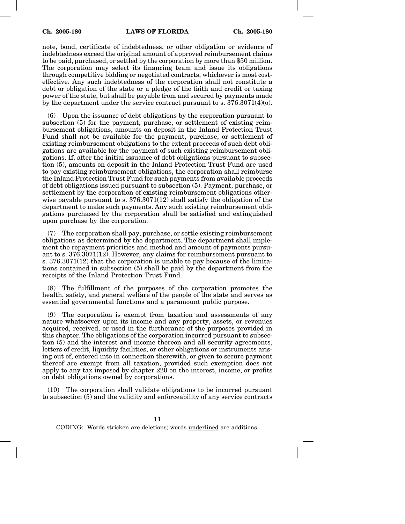note, bond, certificate of indebtedness, or other obligation or evidence of indebtedness exceed the original amount of approved reimbursement claims to be paid, purchased, or settled by the corporation by more than \$50 million. The corporation may select its financing team and issue its obligations through competitive bidding or negotiated contracts, whichever is most costeffective. Any such indebtedness of the corporation shall not constitute a debt or obligation of the state or a pledge of the faith and credit or taxing power of the state, but shall be payable from and secured by payments made by the department under the service contract pursuant to s.  $376.3071(4)(o)$ .

(6) Upon the issuance of debt obligations by the corporation pursuant to subsection (5) for the payment, purchase, or settlement of existing reimbursement obligations, amounts on deposit in the Inland Protection Trust Fund shall not be available for the payment, purchase, or settlement of existing reimbursement obligations to the extent proceeds of such debt obligations are available for the payment of such existing reimbursement obligations. If, after the initial issuance of debt obligations pursuant to subsection (5), amounts on deposit in the Inland Protection Trust Fund are used to pay existing reimbursement obligations, the corporation shall reimburse the Inland Protection Trust Fund for such payments from available proceeds of debt obligations issued pursuant to subsection (5). Payment, purchase, or settlement by the corporation of existing reimbursement obligations otherwise payable pursuant to s.  $376.3071(12)$  shall satisfy the obligation of the department to make such payments. Any such existing reimbursement obligations purchased by the corporation shall be satisfied and extinguished upon purchase by the corporation.

(7) The corporation shall pay, purchase, or settle existing reimbursement obligations as determined by the department. The department shall implement the repayment priorities and method and amount of payments pursuant to s. 376.3071(12). However, any claims for reimbursement pursuant to s. 376.3071(12) that the corporation is unable to pay because of the limitations contained in subsection (5) shall be paid by the department from the receipts of the Inland Protection Trust Fund.

(8) The fulfillment of the purposes of the corporation promotes the health, safety, and general welfare of the people of the state and serves as essential governmental functions and a paramount public purpose.

(9) The corporation is exempt from taxation and assessments of any nature whatsoever upon its income and any property, assets, or revenues acquired, received, or used in the furtherance of the purposes provided in this chapter. The obligations of the corporation incurred pursuant to subsection (5) and the interest and income thereon and all security agreements, letters of credit, liquidity facilities, or other obligations or instruments arising out of, entered into in connection therewith, or given to secure payment thereof are exempt from all taxation, provided such exemption does not apply to any tax imposed by chapter 220 on the interest, income, or profits on debt obligations owned by corporations.

(10) The corporation shall validate obligations to be incurred pursuant to subsection (5) and the validity and enforceability of any service contracts